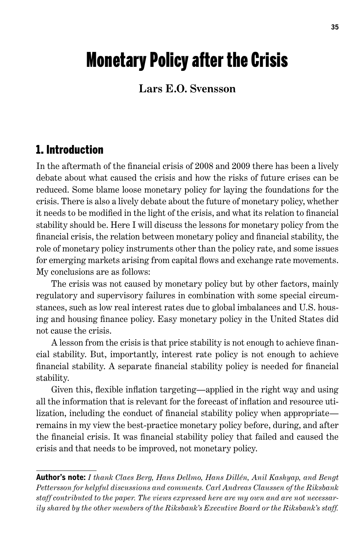# Monetary Policy after the Crisis

#### **Lars E.O. Svensson**

#### 1. Introduction

In the aftermath of the financial crisis of 2008 and 2009 there has been a lively debate about what caused the crisis and how the risks of future crises can be reduced. Some blame loose monetary policy for laying the foundations for the crisis. There is also a lively debate about the future of monetary policy, whether it needs to be modified in the light of the crisis, and what its relation to financial stability should be. Here I will discuss the lessons for monetary policy from the financial crisis, the relation between monetary policy and financial stability, the role of monetary policy instruments other than the policy rate, and some issues for emerging markets arising from capital flows and exchange rate movements. My conclusions are as follows:

The crisis was not caused by monetary policy but by other factors, mainly regulatory and supervisory failures in combination with some special circumstances, such as low real interest rates due to global imbalances and U.S. housing and housing finance policy. Easy monetary policy in the United States did not cause the crisis.

A lesson from the crisis is that price stability is not enough to achieve financial stability. But, importantly, interest rate policy is not enough to achieve financial stability. A separate financial stability policy is needed for financial stability.

Given this, flexible inflation targeting—applied in the right way and using all the information that is relevant for the forecast of inflation and resource utilization, including the conduct of financial stability policy when appropriate remains in my view the best-practice monetary policy before, during, and after the financial crisis. It was financial stability policy that failed and caused the crisis and that needs to be improved, not monetary policy.

**Author's note:** *I thank Claes Berg, Hans Dellmo, Hans Dillén, Anil Kashyap, and Bengt Pettersson for helpful discussions and comments. Carl Andreas Claussen of the Riksbank staff contributed to the paper. The views expressed here are my own and are not necessarily shared by the other members of the Riksbank's Executive Board or the Riksbank's staff.*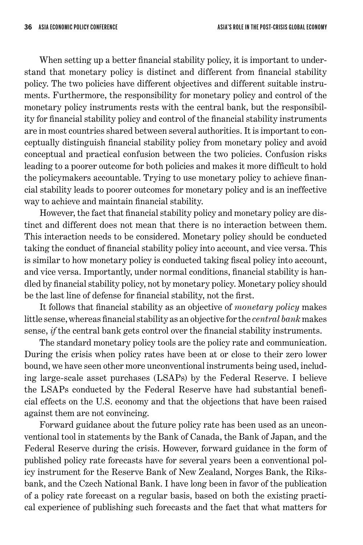When setting up a better financial stability policy, it is important to understand that monetary policy is distinct and different from financial stability policy. The two policies have different objectives and different suitable instruments. Furthermore, the responsibility for monetary policy and control of the monetary policy instruments rests with the central bank, but the responsibility for financial stability policy and control of the financial stability instruments are in most countries shared between several authorities. It is important to conceptually distinguish financial stability policy from monetary policy and avoid conceptual and practical confusion between the two policies. Confusion risks leading to a poorer outcome for both policies and makes it more difficult to hold the policymakers accountable. Trying to use monetary policy to achieve financial stability leads to poorer outcomes for monetary policy and is an ineffective way to achieve and maintain financial stability.

However, the fact that financial stability policy and monetary policy are distinct and different does not mean that there is no interaction between them. This interaction needs to be considered. Monetary policy should be conducted taking the conduct of financial stability policy into account, and vice versa. This is similar to how monetary policy is conducted taking fiscal policy into account, and vice versa. Importantly, under normal conditions, financial stability is handled by financial stability policy, not by monetary policy. Monetary policy should be the last line of defense for financial stability, not the first.

It follows that financial stability as an objective of *monetary policy* makes little sense, whereas financial stability as an objective for the *central bank* makes sense, *if* the central bank gets control over the financial stability instruments.

The standard monetary policy tools are the policy rate and communication. During the crisis when policy rates have been at or close to their zero lower bound, we have seen other more unconventional instruments being used, including large-scale asset purchases (LSAPs) by the Federal Reserve. I believe the LSAPs conducted by the Federal Reserve have had substantial beneficial effects on the U.S. economy and that the objections that have been raised against them are not convincing.

Forward guidance about the future policy rate has been used as an unconventional tool in statements by the Bank of Canada, the Bank of Japan, and the Federal Reserve during the crisis. However, forward guidance in the form of published policy rate forecasts have for several years been a conventional policy instrument for the Reserve Bank of New Zealand, Norges Bank, the Riksbank, and the Czech National Bank. I have long been in favor of the publication of a policy rate forecast on a regular basis, based on both the existing practical experience of publishing such forecasts and the fact that what matters for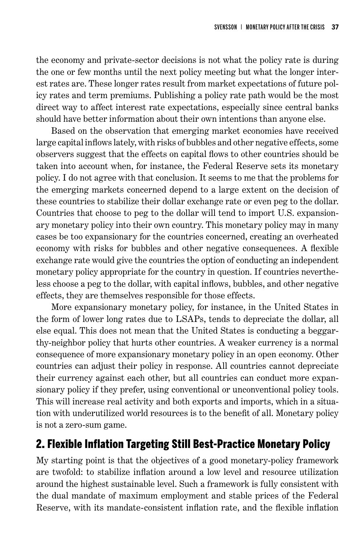the economy and private-sector decisions is not what the policy rate is during the one or few months until the next policy meeting but what the longer interest rates are. These longer rates result from market expectations of future policy rates and term premiums. Publishing a policy rate path would be the most direct way to affect interest rate expectations, especially since central banks should have better information about their own intentions than anyone else.

Based on the observation that emerging market economies have received large capital inflows lately, with risks of bubbles and other negative effects, some observers suggest that the effects on capital flows to other countries should be taken into account when, for instance, the Federal Reserve sets its monetary policy. I do not agree with that conclusion. It seems to me that the problems for the emerging markets concerned depend to a large extent on the decision of these countries to stabilize their dollar exchange rate or even peg to the dollar. Countries that choose to peg to the dollar will tend to import U.S. expansionary monetary policy into their own country. This monetary policy may in many cases be too expansionary for the countries concerned, creating an overheated economy with risks for bubbles and other negative consequences. A flexible exchange rate would give the countries the option of conducting an independent monetary policy appropriate for the country in question. If countries nevertheless choose a peg to the dollar, with capital inflows, bubbles, and other negative effects, they are themselves responsible for those effects.

More expansionary monetary policy, for instance, in the United States in the form of lower long rates due to LSAPs, tends to depreciate the dollar, all else equal. This does not mean that the United States is conducting a beggarthy-neighbor policy that hurts other countries. A weaker currency is a normal consequence of more expansionary monetary policy in an open economy. Other countries can adjust their policy in response. All countries cannot depreciate their currency against each other, but all countries can conduct more expansionary policy if they prefer, using conventional or unconventional policy tools. This will increase real activity and both exports and imports, which in a situation with underutilized world resources is to the benefit of all. Monetary policy is not a zero-sum game.

### 2. Flexible Inflation Targeting Still Best-Practice Monetary Policy

My starting point is that the objectives of a good monetary-policy framework are twofold: to stabilize inflation around a low level and resource utilization around the highest sustainable level. Such a framework is fully consistent with the dual mandate of maximum employment and stable prices of the Federal Reserve, with its mandate-consistent inflation rate, and the flexible inflation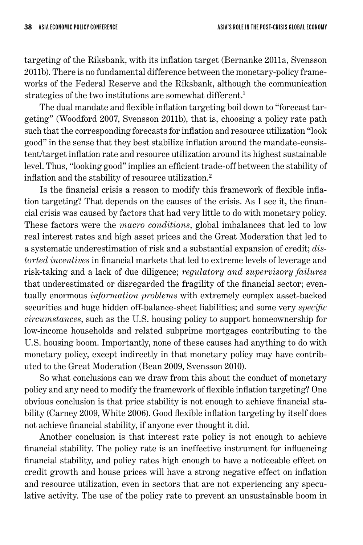targeting of the Riksbank, with its inflation target (Bernanke 2011a, Svensson 2011b). There is no fundamental difference between the monetary-policy frameworks of the Federal Reserve and the Riksbank, although the communication strategies of the two institutions are somewhat different.<sup>1</sup>

The dual mandate and flexible inflation targeting boil down to "forecast targeting" (Woodford 2007, Svensson 2011b), that is, choosing a policy rate path such that the corresponding forecasts for inflation and resource utilization "look good" in the sense that they best stabilize inflation around the mandate-consistent/target inflation rate and resource utilization around its highest sustainable level. Thus, "looking good" implies an efficient trade-off between the stability of inflation and the stability of resource utilization.<sup>2</sup>

Is the financial crisis a reason to modify this framework of flexible inflation targeting? That depends on the causes of the crisis. As I see it, the financial crisis was caused by factors that had very little to do with monetary policy. These factors were the *macro conditions*, global imbalances that led to low real interest rates and high asset prices and the Great Moderation that led to a systematic underestimation of risk and a substantial expansion of credit; *distorted incentives* in financial markets that led to extreme levels of leverage and risk-taking and a lack of due diligence; *regulatory and supervisory failures* that underestimated or disregarded the fragility of the financial sector; eventually enormous *information problems* with extremely complex asset-backed securities and huge hidden off-balance-sheet liabilities; and some very *specific circumstances*, such as the U.S. housing policy to support homeownership for low-income households and related subprime mortgages contributing to the U.S. housing boom. Importantly, none of these causes had anything to do with monetary policy, except indirectly in that monetary policy may have contributed to the Great Moderation (Bean 2009, Svensson 2010).

So what conclusions can we draw from this about the conduct of monetary policy and any need to modify the framework of flexible inflation targeting? One obvious conclusion is that price stability is not enough to achieve financial stability (Carney 2009, White 2006). Good flexible inflation targeting by itself does not achieve financial stability, if anyone ever thought it did.

Another conclusion is that interest rate policy is not enough to achieve financial stability. The policy rate is an ineffective instrument for influencing financial stability, and policy rates high enough to have a noticeable effect on credit growth and house prices will have a strong negative effect on inflation and resource utilization, even in sectors that are not experiencing any speculative activity. The use of the policy rate to prevent an unsustainable boom in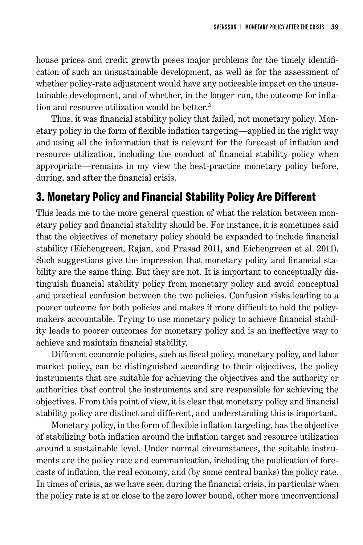house prices and credit growth poses major problems for the timely identification of such an unsustainable development, as well as for the assessment of whether policy-rate adjustment would have any noticeable impact on the unsustainable development, and of whether, in the longer run, the outcome for inflation and resource utilization would be better.<sup>3</sup>

Thus, it was financial stability policy that failed, not monetary policy. Monetary policy in the form of flexible inflation targeting—applied in the right way and using all the information that is relevant for the forecast of inflation and resource utilization, including the conduct of financial stability policy when appropriate—remains in my view the best-practice monetary policy before, during, and after the financial crisis.

#### 3. Monetary Policy and Financial Stability Policy Are Different

This leads me to the more general question of what the relation between monetary policy and financial stability should be. For instance, it is sometimes said that the objectives of monetary policy should be expanded to include financial stability (Eichengreen, Rajan, and Prasad 2011, and Eichengreen et al. 2011). Such suggestions give the impression that monetary policy and financial stability are the same thing. But they are not. It is important to conceptually distinguish financial stability policy from monetary policy and avoid conceptual and practical confusion between the two policies. Confusion risks leading to a poorer outcome for both policies and makes it more difficult to hold the policymakers accountable. Trying to use monetary policy to achieve financial stability leads to poorer outcomes for monetary policy and is an ineffective way to achieve and maintain financial stability.

Different economic policies, such as fiscal policy, monetary policy, and labor market policy, can be distinguished according to their objectives, the policy instruments that are suitable for achieving the objectives and the authority or authorities that control the instruments and are responsible for achieving the objectives. From this point of view, it is clear that monetary policy and financial stability policy are distinct and different, and understanding this is important.

Monetary policy, in the form of flexible inflation targeting, has the objective of stabilizing both inflation around the inflation target and resource utilization around a sustainable level. Under normal circumstances, the suitable instruments are the policy rate and communication, including the publication of forecasts of inflation, the real economy, and (by some central banks) the policy rate. In times of crisis, as we have seen during the financial crisis, in particular when the policy rate is at or close to the zero lower bound, other more unconventional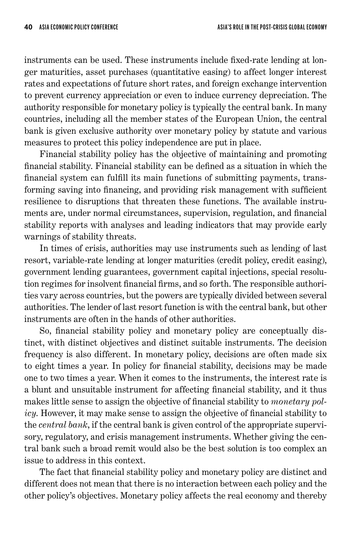instruments can be used. These instruments include fixed-rate lending at longer maturities, asset purchases (quantitative easing) to affect longer interest rates and expectations of future short rates, and foreign exchange intervention to prevent currency appreciation or even to induce currency depreciation. The authority responsible for monetary policy is typically the central bank. In many countries, including all the member states of the European Union, the central bank is given exclusive authority over monetary policy by statute and various measures to protect this policy independence are put in place.

Financial stability policy has the objective of maintaining and promoting financial stability. Financial stability can be defined as a situation in which the financial system can fulfill its main functions of submitting payments, transforming saving into financing, and providing risk management with sufficient resilience to disruptions that threaten these functions. The available instruments are, under normal circumstances, supervision, regulation, and financial stability reports with analyses and leading indicators that may provide early warnings of stability threats.

In times of crisis, authorities may use instruments such as lending of last resort, variable-rate lending at longer maturities (credit policy, credit easing), government lending guarantees, government capital injections, special resolution regimes for insolvent financial firms, and so forth. The responsible authorities vary across countries, but the powers are typically divided between several authorities. The lender of last resort function is with the central bank, but other instruments are often in the hands of other authorities.

So, financial stability policy and monetary policy are conceptually distinct, with distinct objectives and distinct suitable instruments. The decision frequency is also different. In monetary policy, decisions are often made six to eight times a year. In policy for financial stability, decisions may be made one to two times a year. When it comes to the instruments, the interest rate is a blunt and unsuitable instrument for affecting financial stability, and it thus makes little sense to assign the objective of financial stability to *monetary policy*. However, it may make sense to assign the objective of financial stability to the *central bank*, if the central bank is given control of the appropriate supervisory, regulatory, and crisis management instruments. Whether giving the central bank such a broad remit would also be the best solution is too complex an issue to address in this context.

The fact that financial stability policy and monetary policy are distinct and different does not mean that there is no interaction between each policy and the other policy's objectives. Monetary policy affects the real economy and thereby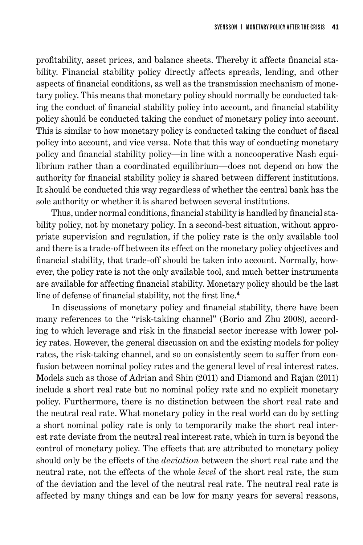profitability, asset prices, and balance sheets. Thereby it affects financial stability. Financial stability policy directly affects spreads, lending, and other aspects of financial conditions, as well as the transmission mechanism of monetary policy. This means that monetary policy should normally be conducted taking the conduct of financial stability policy into account, and financial stability policy should be conducted taking the conduct of monetary policy into account. This is similar to how monetary policy is conducted taking the conduct of fiscal policy into account, and vice versa. Note that this way of conducting monetary policy and financial stability policy—in line with a noncooperative Nash equilibrium rather than a coordinated equilibrium—does not depend on how the authority for financial stability policy is shared between different institutions. It should be conducted this way regardless of whether the central bank has the sole authority or whether it is shared between several institutions.

Thus, under normal conditions, financial stability is handled by financial stability policy, not by monetary policy. In a second-best situation, without appropriate supervision and regulation, if the policy rate is the only available tool and there is a trade-off between its effect on the monetary policy objectives and financial stability, that trade-off should be taken into account. Normally, however, the policy rate is not the only available tool, and much better instruments are available for affecting financial stability. Monetary policy should be the last line of defense of financial stability, not the first line.<sup>4</sup>

In discussions of monetary policy and financial stability, there have been many references to the "risk-taking channel" (Borio and Zhu 2008), according to which leverage and risk in the financial sector increase with lower policy rates. However, the general discussion on and the existing models for policy rates, the risk-taking channel, and so on consistently seem to suffer from confusion between nominal policy rates and the general level of real interest rates. Models such as those of Adrian and Shin (2011) and Diamond and Rajan (2011) include a short real rate but no nominal policy rate and no explicit monetary policy. Furthermore, there is no distinction between the short real rate and the neutral real rate. What monetary policy in the real world can do by setting a short nominal policy rate is only to temporarily make the short real interest rate deviate from the neutral real interest rate, which in turn is beyond the control of monetary policy. The effects that are attributed to monetary policy should only be the effects of the *deviation* between the short real rate and the neutral rate, not the effects of the whole *level* of the short real rate, the sum of the deviation and the level of the neutral real rate. The neutral real rate is affected by many things and can be low for many years for several reasons,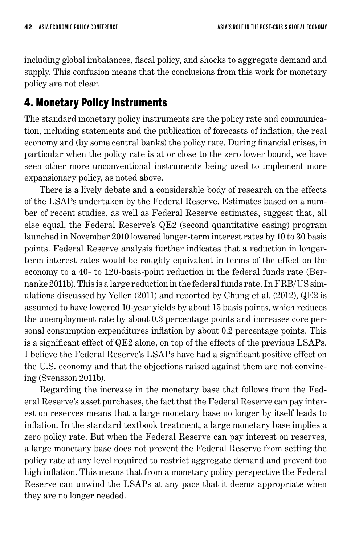including global imbalances, fiscal policy, and shocks to aggregate demand and supply. This confusion means that the conclusions from this work for monetary policy are not clear.

## 4. Monetary Policy Instruments

The standard monetary policy instruments are the policy rate and communication, including statements and the publication of forecasts of inflation, the real economy and (by some central banks) the policy rate. During financial crises, in particular when the policy rate is at or close to the zero lower bound, we have seen other more unconventional instruments being used to implement more expansionary policy, as noted above.

There is a lively debate and a considerable body of research on the effects of the LSAPs undertaken by the Federal Reserve. Estimates based on a number of recent studies, as well as Federal Reserve estimates, suggest that, all else equal, the Federal Reserve's QE2 (second quantitative easing) program launched in November 2010 lowered longer-term interest rates by 10 to 30 basis points. Federal Reserve analysis further indicates that a reduction in longerterm interest rates would be roughly equivalent in terms of the effect on the economy to a 40- to 120-basis-point reduction in the federal funds rate (Bernanke 2011b). This is a large reduction in the federal funds rate. In FRB/US simulations discussed by Yellen (2011) and reported by Chung et al. (2012), QE2 is assumed to have lowered 10-year yields by about 15 basis points, which reduces the unemployment rate by about 0.3 percentage points and increases core personal consumption expenditures inflation by about 0.2 percentage points. This is a significant effect of QE2 alone, on top of the effects of the previous LSAPs. I believe the Federal Reserve's LSAPs have had a significant positive effect on the U.S. economy and that the objections raised against them are not convincing (Svensson 2011b).

Regarding the increase in the monetary base that follows from the Federal Reserve's asset purchases, the fact that the Federal Reserve can pay interest on reserves means that a large monetary base no longer by itself leads to inflation. In the standard textbook treatment, a large monetary base implies a zero policy rate. But when the Federal Reserve can pay interest on reserves, a large monetary base does not prevent the Federal Reserve from setting the policy rate at any level required to restrict aggregate demand and prevent too high inflation. This means that from a monetary policy perspective the Federal Reserve can unwind the LSAPs at any pace that it deems appropriate when they are no longer needed.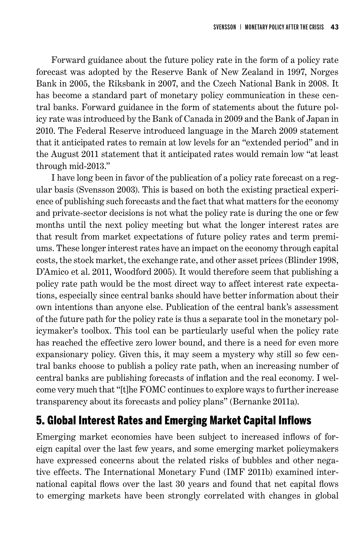Forward guidance about the future policy rate in the form of a policy rate forecast was adopted by the Reserve Bank of New Zealand in 1997, Norges Bank in 2005, the Riksbank in 2007, and the Czech National Bank in 2008. It has become a standard part of monetary policy communication in these central banks. Forward guidance in the form of statements about the future policy rate was introduced by the Bank of Canada in 2009 and the Bank of Japan in 2010. The Federal Reserve introduced language in the March 2009 statement that it anticipated rates to remain at low levels for an "extended period" and in the August 2011 statement that it anticipated rates would remain low "at least through mid-2013."

I have long been in favor of the publication of a policy rate forecast on a regular basis (Svensson 2003). This is based on both the existing practical experience of publishing such forecasts and the fact that what matters for the economy and private-sector decisions is not what the policy rate is during the one or few months until the next policy meeting but what the longer interest rates are that result from market expectations of future policy rates and term premiums. These longer interest rates have an impact on the economy through capital costs, the stock market, the exchange rate, and other asset prices (Blinder 1998, D'Amico et al. 2011, Woodford 2005). It would therefore seem that publishing a policy rate path would be the most direct way to affect interest rate expectations, especially since central banks should have better information about their own intentions than anyone else. Publication of the central bank's assessment of the future path for the policy rate is thus a separate tool in the monetary policymaker's toolbox. This tool can be particularly useful when the policy rate has reached the effective zero lower bound, and there is a need for even more expansionary policy. Given this, it may seem a mystery why still so few central banks choose to publish a policy rate path, when an increasing number of central banks are publishing forecasts of inflation and the real economy. I welcome very much that "[t]he FOMC continues to explore ways to further increase transparency about its forecasts and policy plans" (Bernanke 2011a).

### 5. Global Interest Rates and Emerging Market Capital Inflows

Emerging market economies have been subject to increased inflows of foreign capital over the last few years, and some emerging market policymakers have expressed concerns about the related risks of bubbles and other negative effects. The International Monetary Fund (IMF 2011b) examined international capital flows over the last 30 years and found that net capital flows to emerging markets have been strongly correlated with changes in global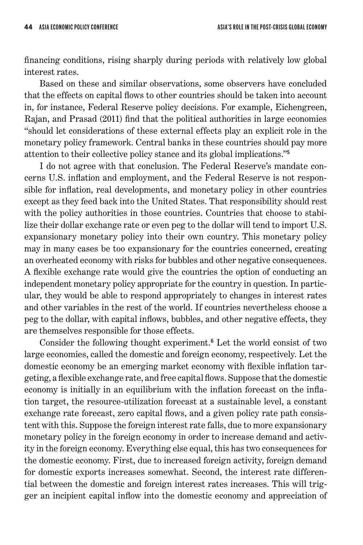financing conditions, rising sharply during periods with relatively low global interest rates.

Based on these and similar observations, some observers have concluded that the effects on capital flows to other countries should be taken into account in, for instance, Federal Reserve policy decisions. For example, Eichengreen, Rajan, and Prasad (2011) find that the political authorities in large economies "should let considerations of these external effects play an explicit role in the monetary policy framework. Central banks in these countries should pay more attention to their collective policy stance and its global implications."<sup>5</sup>

I do not agree with that conclusion. The Federal Reserve's mandate concerns U.S. inflation and employment, and the Federal Reserve is not responsible for inflation, real developments, and monetary policy in other countries except as they feed back into the United States. That responsibility should rest with the policy authorities in those countries. Countries that choose to stabilize their dollar exchange rate or even peg to the dollar will tend to import U.S. expansionary monetary policy into their own country. This monetary policy may in many cases be too expansionary for the countries concerned, creating an overheated economy with risks for bubbles and other negative consequences. A flexible exchange rate would give the countries the option of conducting an independent monetary policy appropriate for the country in question. In particular, they would be able to respond appropriately to changes in interest rates and other variables in the rest of the world. If countries nevertheless choose a peg to the dollar, with capital inflows, bubbles, and other negative effects, they are themselves responsible for those effects.

Consider the following thought experiment.<sup>6</sup> Let the world consist of two large economies, called the domestic and foreign economy, respectively. Let the domestic economy be an emerging market economy with flexible inflation targeting, a flexible exchange rate, and free capital flows. Suppose that the domestic economy is initially in an equilibrium with the inflation forecast on the inflation target, the resource-utilization forecast at a sustainable level, a constant exchange rate forecast, zero capital flows, and a given policy rate path consistent with this. Suppose the foreign interest rate falls, due to more expansionary monetary policy in the foreign economy in order to increase demand and activity in the foreign economy. Everything else equal, this has two consequences for the domestic economy. First, due to increased foreign activity, foreign demand for domestic exports increases somewhat. Second, the interest rate differential between the domestic and foreign interest rates increases. This will trigger an incipient capital inflow into the domestic economy and appreciation of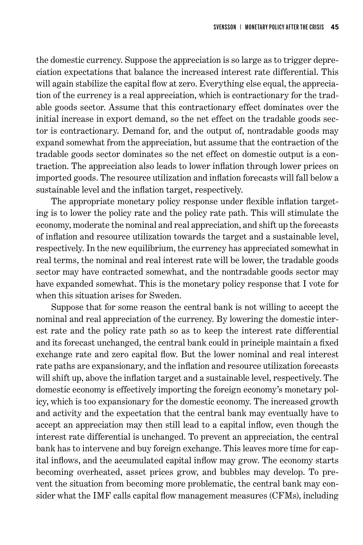the domestic currency. Suppose the appreciation is so large as to trigger depreciation expectations that balance the increased interest rate differential. This will again stabilize the capital flow at zero. Everything else equal, the appreciation of the currency is a real appreciation, which is contractionary for the tradable goods sector. Assume that this contractionary effect dominates over the initial increase in export demand, so the net effect on the tradable goods sector is contractionary. Demand for, and the output of, nontradable goods may expand somewhat from the appreciation, but assume that the contraction of the tradable goods sector dominates so the net effect on domestic output is a contraction. The appreciation also leads to lower inflation through lower prices on imported goods. The resource utilization and inflation forecasts will fall below a sustainable level and the inflation target, respectively.

The appropriate monetary policy response under flexible inflation targeting is to lower the policy rate and the policy rate path. This will stimulate the economy, moderate the nominal and real appreciation, and shift up the forecasts of inflation and resource utilization towards the target and a sustainable level, respectively. In the new equilibrium, the currency has appreciated somewhat in real terms, the nominal and real interest rate will be lower, the tradable goods sector may have contracted somewhat, and the nontradable goods sector may have expanded somewhat. This is the monetary policy response that I vote for when this situation arises for Sweden.

Suppose that for some reason the central bank is not willing to accept the nominal and real appreciation of the currency. By lowering the domestic interest rate and the policy rate path so as to keep the interest rate differential and its forecast unchanged, the central bank could in principle maintain a fixed exchange rate and zero capital flow. But the lower nominal and real interest rate paths are expansionary, and the inflation and resource utilization forecasts will shift up, above the inflation target and a sustainable level, respectively. The domestic economy is effectively importing the foreign economy's monetary policy, which is too expansionary for the domestic economy. The increased growth and activity and the expectation that the central bank may eventually have to accept an appreciation may then still lead to a capital inflow, even though the interest rate differential is unchanged. To prevent an appreciation, the central bank has to intervene and buy foreign exchange. This leaves more time for capital inflows, and the accumulated capital inflow may grow. The economy starts becoming overheated, asset prices grow, and bubbles may develop. To prevent the situation from becoming more problematic, the central bank may consider what the IMF calls capital flow management measures (CFMs), including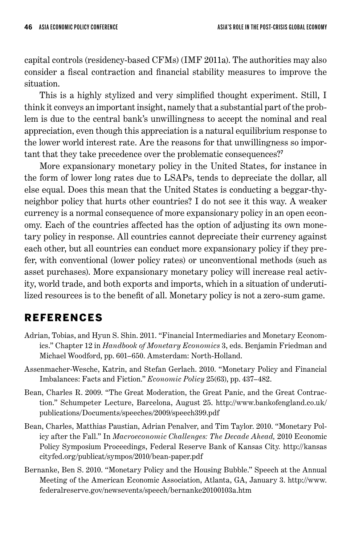capital controls (residency-based CFMs) (IMF 2011a). The authorities may also consider a fiscal contraction and financial stability measures to improve the situation.

This is a highly stylized and very simplified thought experiment. Still, I think it conveys an important insight, namely that a substantial part of the problem is due to the central bank's unwillingness to accept the nominal and real appreciation, even though this appreciation is a natural equilibrium response to the lower world interest rate. Are the reasons for that unwillingness so important that they take precedence over the problematic consequences?<sup>7</sup>

More expansionary monetary policy in the United States, for instance in the form of lower long rates due to LSAPs, tends to depreciate the dollar, all else equal. Does this mean that the United States is conducting a beggar-thyneighbor policy that hurts other countries? I do not see it this way. A weaker currency is a normal consequence of more expansionary policy in an open economy. Each of the countries affected has the option of adjusting its own monetary policy in response. All countries cannot depreciate their currency against each other, but all countries can conduct more expansionary policy if they prefer, with conventional (lower policy rates) or unconventional methods (such as asset purchases). More expansionary monetary policy will increase real activity, world trade, and both exports and imports, which in a situation of underutilized resources is to the benefit of all. Monetary policy is not a zero-sum game.

## References

- Adrian, Tobias, and Hyun S. Shin. 2011. "Financial Intermediaries and Monetary Economics." Chapter 12 in *Handbook of Monetary Economics* 3, eds. Benjamin Friedman and Michael Woodford, pp. 601–650. Amsterdam: North-Holland.
- Assenmacher-Wesche, Katrin, and Stefan Gerlach. 2010. "Monetary Policy and Financial Imbalances: Facts and Fiction." *Economic Policy* 25(63), pp. 437–482.
- Bean, Charles R. 2009. "The Great Moderation, the Great Panic, and the Great Contraction." Schumpeter Lecture, Barcelona, August 25. http://www.bankofengland.co.uk/ publications/Documents/speeches/2009/speech399.pdf
- Bean, Charles, Matthias Paustian, Adrian Penalver, and Tim Taylor. 2010. "Monetary Policy after the Fall." In *Macroeconomic Challenges: The Decade Ahead,* 2010 Economic Policy Symposium Proceedings, Federal Reserve Bank of Kansas City*.* http://kansas cityfed.org/publicat/sympos/2010/bean-paper.pdf
- Bernanke, Ben S. 2010. "Monetary Policy and the Housing Bubble." Speech at the Annual Meeting of the American Economic Association, Atlanta, GA, January 3. http://www. federalreserve.gov/newsevents/speech/bernanke20100103a.htm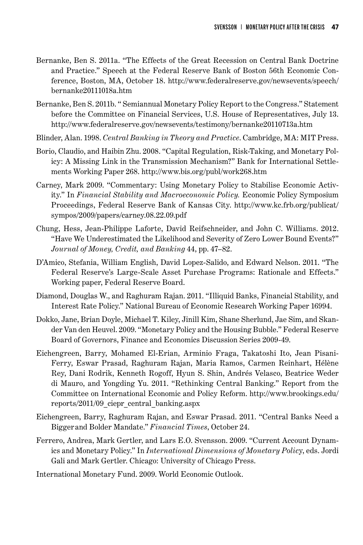- Bernanke, Ben S. 2011a. "The Effects of the Great Recession on Central Bank Doctrine and Practice." Speech at the Federal Reserve Bank of Boston 56th Economic Conference, Boston, MA, October 18. http://www.federalreserve.gov/newsevents/speech/ bernanke20111018a.htm
- Bernanke, Ben S. 2011b. " Semiannual Monetary Policy Report to the Congress." Statement before the Committee on Financial Services, U.S. House of Representatives, July 13. http://www.federalreserve.gov/newsevents/testimony/bernanke20110713a.htm
- Blinder, Alan. 1998. *Central Banking in Theory and Practice*. Cambridge, MA: MIT Press.
- Borio, Claudio, and Haibin Zhu. 2008. "Capital Regulation, Risk-Taking, and Monetary Policy: A Missing Link in the Transmission Mechanism?" Bank for International Settlements Working Paper 268. http://www.bis.org/publ/work268.htm
- Carney, Mark 2009. "Commentary: Using Monetary Policy to Stabilise Economic Activity." In *Financial Stability and Macroeconomic Policy.* Economic Policy Symposium Proceedings, Federal Reserve Bank of Kansas City. http://www.kc.frb.org/publicat/ sympos/2009/papers/carney.08.22.09.pdf
- Chung, Hess, Jean-Philippe Laforte, David Reifschneider, and John C. Williams. 2012. "Have We Underestimated the Likelihood and Severity of Zero Lower Bound Events?" *Journal of Money, Credit, and Banking* 44, pp. 47–82.
- D'Amico, Stefania, William English, David Lopez-Salido, and Edward Nelson. 2011. "The Federal Reserve's Large-Scale Asset Purchase Programs: Rationale and Effects." Working paper, Federal Reserve Board.
- Diamond, Douglas W., and Raghuram Rajan. 2011. "Illiquid Banks, Financial Stability, and Interest Rate Policy." National Bureau of Economic Research Working Paper 16994.
- Dokko, Jane, Brian Doyle, Michael T. Kiley, Jinill Kim, Shane Sherlund, Jae Sim, and Skander Van den Heuvel. 2009. "Monetary Policy and the Housing Bubble." Federal Reserve Board of Governors, Finance and Economics Discussion Series 2009-49.
- Eichengreen, Barry, Mohamed El-Erian, Arminio Fraga, Takatoshi Ito, Jean Pisani-Ferry, Eswar Prasad, Raghuram Rajan, Maria Ramos, Carmen Reinhart, Hélène Rey, Dani Rodrik, Kenneth Rogoff, Hyun S. Shin, Andrés Velasco, Beatrice Weder di Mauro, and Yongding Yu. 2011. "Rethinking Central Banking." Report from the Committee on International Economic and Policy Reform. http://www.brookings.edu/ reports/2011/09\_ciepr\_central\_banking.aspx
- Eichengreen, Barry, Raghuram Rajan, and Eswar Prasad. 2011. "Central Banks Need a Bigger and Bolder Mandate." *Financial Times*, October 24.
- Ferrero, Andrea, Mark Gertler, and Lars E.O. Svensson. 2009. "Current Account Dynamics and Monetary Policy." In *International Dimensions of Monetary Polic*y, eds. Jordi Gali and Mark Gertler. Chicago: University of Chicago Press.
- International Monetary Fund. 2009. World Economic Outlook.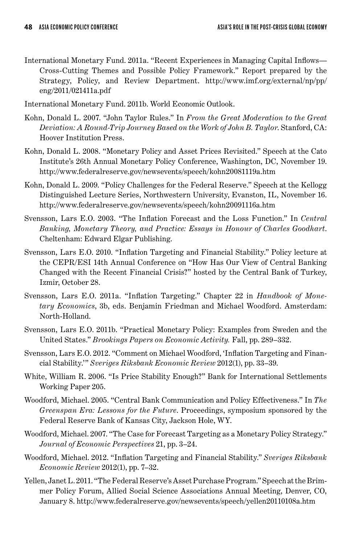- International Monetary Fund. 2011a. "Recent Experiences in Managing Capital Inflows— Cross-Cutting Themes and Possible Policy Framework." Report prepared by the Strategy, Policy, and Review Department. http://www.imf.org/external/np/pp/ eng/2011/021411a.pdf
- International Monetary Fund. 2011b. World Economic Outlook.
- Kohn, Donald L. 2007. "John Taylor Rules." In *From the Great Moderation to the Great Deviation: A Round-Trip Journey Based on the Work of John B. Taylor*. Stanford, CA: Hoover Institution Press.
- Kohn, Donald L. 2008. "Monetary Policy and Asset Prices Revisited." Speech at the Cato Institute's 26th Annual Monetary Policy Conference, Washington, DC, November 19. http://www.federalreserve.gov/newsevents/speech/kohn20081119a.htm
- Kohn, Donald L. 2009. "Policy Challenges for the Federal Reserve." Speech at the Kellogg Distinguished Lecture Series, Northwestern University, Evanston, IL, November 16. http://www.federalreserve.gov/newsevents/speech/kohn20091116a.htm
- Svensson, Lars E.O. 2003. "The Inflation Forecast and the Loss Function." In *Central Banking, Monetary Theory, and Practice: Essays in Honour of Charles Goodhart*. Cheltenham: Edward Elgar Publishing.
- Svensson, Lars E.O. 2010. "Inflation Targeting and Financial Stability." Policy lecture at the CEPR/ESI 14th Annual Conference on "How Has Our View of Central Banking Changed with the Recent Financial Crisis?" hosted by the Central Bank of Turkey, Izmir, October 28.
- Svensson, Lars E.O. 2011a. "Inflation Targeting." Chapter 22 in *Handbook of Monetary Economics*, 3b, eds. Benjamin Friedman and Michael Woodford. Amsterdam: North-Holland.
- Svensson, Lars E.O. 2011b. "Practical Monetary Policy: Examples from Sweden and the United States." *Brookings Papers on Economic Activity.* Fall, pp. 289–332.
- Svensson, Lars E.O. 2012. "Comment on Michael Woodford, 'Inflation Targeting and Financial Stability.'" *Sveriges Riksbank Economic Review* 2012(1), pp. 33–39.
- White, William R. 2006. "Is Price Stability Enough?" Bank for International Settlements Working Paper 205.
- Woodford, Michael. 2005. "Central Bank Communication and Policy Effectiveness." In *The Greenspan Era: Lessons for the Future*. Proceedings, symposium sponsored by the Federal Reserve Bank of Kansas City, Jackson Hole, WY.
- Woodford, Michael. 2007. "The Case for Forecast Targeting as a Monetary Policy Strategy." *Journal of Economic Perspectives* 21, pp. 3–24.
- Woodford, Michael. 2012. "Inflation Targeting and Financial Stability." *Sveriges Riksbank Economic Review* 2012(1), pp. 7–32.
- Yellen, Janet L. 2011. "The Federal Reserve's Asset Purchase Program." Speech at the Brimmer Policy Forum, Allied Social Science Associations Annual Meeting, Denver, CO, January 8. http://www.federalreserve.gov/newsevents/speech/yellen20110108a.htm